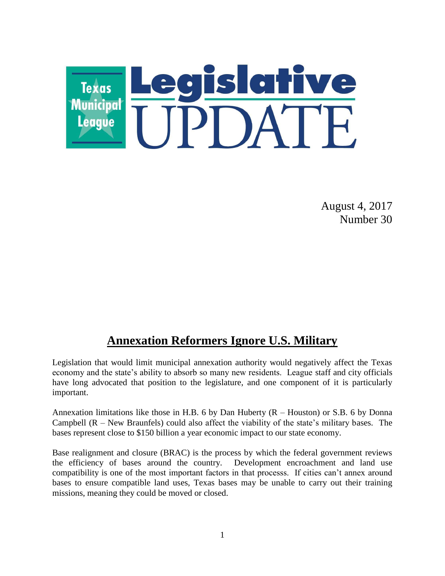

August 4, 2017 Number 30

## **Annexation Reformers Ignore U.S. Military**

Legislation that would limit municipal annexation authority would negatively affect the Texas economy and the state's ability to absorb so many new residents. League staff and city officials have long advocated that position to the legislature, and one component of it is particularly important.

Annexation limitations like those in H.B. 6 by Dan Huberty (R – Houston) or S.B. 6 by Donna Campbell (R – New Braunfels) could also affect the viability of the state's military bases. The bases represent close to \$150 billion a year economic impact to our state economy.

Base realignment and closure (BRAC) is the process by which the federal government reviews the efficiency of bases around the country. Development encroachment and land use compatibility is one of the most important factors in that processs. If cities can't annex around bases to ensure compatible land uses, Texas bases may be unable to carry out their training missions, meaning they could be moved or closed.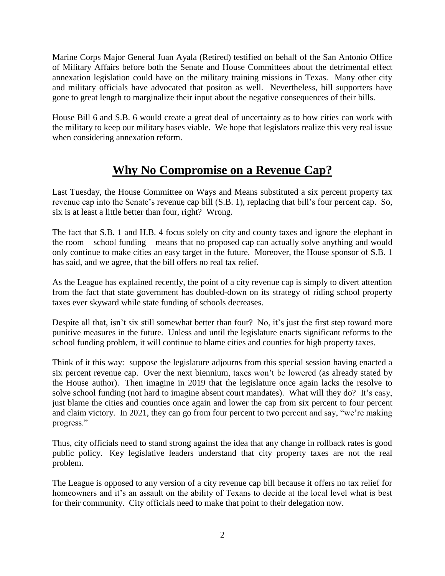Marine Corps Major General Juan Ayala (Retired) testified on behalf of the San Antonio Office of Military Affairs before both the Senate and House Committees about the detrimental effect annexation legislation could have on the military training missions in Texas. Many other city and military officials have advocated that positon as well. Nevertheless, bill supporters have gone to great length to marginalize their input about the negative consequences of their bills.

House Bill 6 and S.B. 6 would create a great deal of uncertainty as to how cities can work with the military to keep our military bases viable. We hope that legislators realize this very real issue when considering annexation reform.

# **Why No Compromise on a Revenue Cap?**

Last Tuesday, the House Committee on Ways and Means substituted a six percent property tax revenue cap into the Senate's revenue cap bill (S.B. 1), replacing that bill's four percent cap. So, six is at least a little better than four, right? Wrong.

The fact that S.B. 1 and H.B. 4 focus solely on city and county taxes and ignore the elephant in the room – school funding – means that no proposed cap can actually solve anything and would only continue to make cities an easy target in the future. Moreover, the House sponsor of S.B. 1 has said, and we agree, that the bill offers no real tax relief.

As the League has explained recently, the point of a city revenue cap is simply to divert attention from the fact that state government has doubled-down on its strategy of riding school property taxes ever skyward while state funding of schools decreases.

Despite all that, isn't six still somewhat better than four? No, it's just the first step toward more punitive measures in the future. Unless and until the legislature enacts significant reforms to the school funding problem, it will continue to blame cities and counties for high property taxes.

Think of it this way: suppose the legislature adjourns from this special session having enacted a six percent revenue cap. Over the next biennium, taxes won't be lowered (as already stated by the House author). Then imagine in 2019 that the legislature once again lacks the resolve to solve school funding (not hard to imagine absent court mandates). What will they do? It's easy, just blame the cities and counties once again and lower the cap from six percent to four percent and claim victory. In 2021, they can go from four percent to two percent and say, "we're making progress."

Thus, city officials need to stand strong against the idea that any change in rollback rates is good public policy. Key legislative leaders understand that city property taxes are not the real problem.

The League is opposed to any version of a city revenue cap bill because it offers no tax relief for homeowners and it's an assault on the ability of Texans to decide at the local level what is best for their community. City officials need to make that point to their delegation now.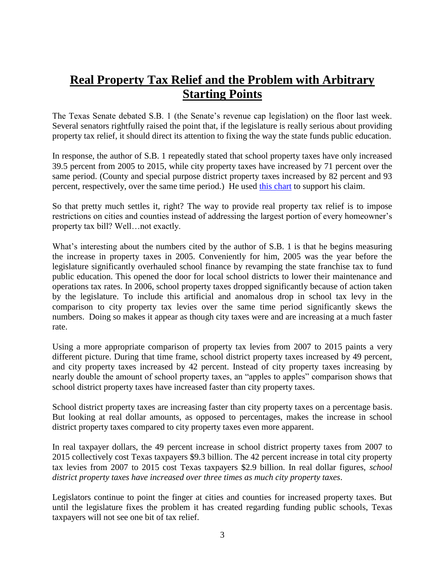# **Real Property Tax Relief and the Problem with Arbitrary Starting Points**

The Texas Senate debated S.B. 1 (the Senate's revenue cap legislation) on the floor last week. Several senators rightfully raised the point that, if the legislature is really serious about providing property tax relief, it should direct its attention to fixing the way the state funds public education.

In response, the author of S.B. 1 repeatedly stated that school property taxes have only increased 39.5 percent from 2005 to 2015, while city property taxes have increased by 71 percent over the same period. (County and special purpose district property taxes increased by 82 percent and 93 percent, respectively, over the same time period.) He used [this chart](file:///C:/Users/scott/AppData/Local/Microsoft/Windows/Temporary%20Internet%20Files/Content.Outlook/C10VJONP/Real%20Property%20Tax%20Relief%20and%20the%20Problem%20with%20Arbitrary%20Starting%20Points) to support his claim.

So that pretty much settles it, right? The way to provide real property tax relief is to impose restrictions on cities and counties instead of addressing the largest portion of every homeowner's property tax bill? Well…not exactly.

What's interesting about the numbers cited by the author of S.B. 1 is that he begins measuring the increase in property taxes in 2005. Conveniently for him, 2005 was the year before the legislature significantly overhauled school finance by revamping the state franchise tax to fund public education. This opened the door for local school districts to lower their maintenance and operations tax rates. In 2006, school property taxes dropped significantly because of action taken by the legislature. To include this artificial and anomalous drop in school tax levy in the comparison to city property tax levies over the same time period significantly skews the numbers. Doing so makes it appear as though city taxes were and are increasing at a much faster rate.

Using a more appropriate comparison of property tax levies from 2007 to 2015 paints a very different picture. During that time frame, school district property taxes increased by 49 percent, and city property taxes increased by 42 percent. Instead of city property taxes increasing by nearly double the amount of school property taxes, an "apples to apples" comparison shows that school district property taxes have increased faster than city property taxes.

School district property taxes are increasing faster than city property taxes on a percentage basis. But looking at real dollar amounts, as opposed to percentages, makes the increase in school district property taxes compared to city property taxes even more apparent.

In real taxpayer dollars, the 49 percent increase in school district property taxes from 2007 to 2015 collectively cost Texas taxpayers \$9.3 billion. The 42 percent increase in total city property tax levies from 2007 to 2015 cost Texas taxpayers \$2.9 billion. In real dollar figures, *school district property taxes have increased over three times as much city property taxes*.

Legislators continue to point the finger at cities and counties for increased property taxes. But until the legislature fixes the problem it has created regarding funding public schools, Texas taxpayers will not see one bit of tax relief.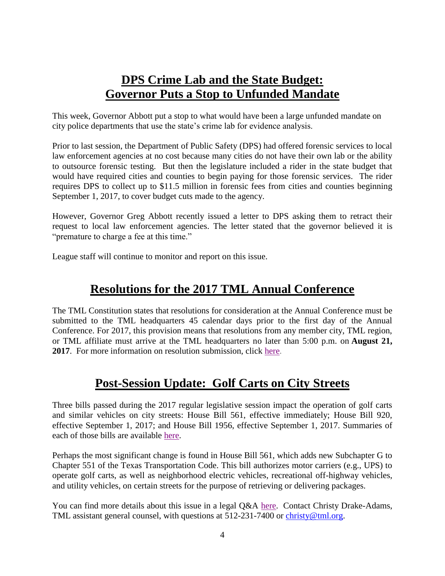# **DPS Crime Lab and the State Budget: Governor Puts a Stop to Unfunded Mandate**

This week, Governor Abbott put a stop to what would have been a large unfunded mandate on city police departments that use the state's crime lab for evidence analysis.

Prior to last session, the Department of Public Safety (DPS) had offered forensic services to local law enforcement agencies at no cost because many cities do not have their own lab or the ability to outsource forensic testing. But then the legislature included a rider in the state budget that would have required cities and counties to begin paying for those forensic services. The rider requires DPS to collect up to \$11.5 million in forensic fees from cities and counties beginning September 1, 2017, to cover budget cuts made to the agency.

However, Governor Greg Abbott recently issued a letter to DPS asking them to retract their request to local law enforcement agencies. The letter stated that the governor believed it is "premature to charge a fee at this time."

League staff will continue to monitor and report on this issue.

# **Resolutions for the 2017 TML Annual Conference**

The TML Constitution states that resolutions for consideration at the Annual Conference must be submitted to the TML headquarters 45 calendar days prior to the first day of the Annual Conference. For 2017, this provision means that resolutions from any member city, TML region, or TML affiliate must arrive at the TML headquarters no later than 5:00 p.m. on **August 21, 2017**. For more information on resolution submission, click [here.](https://www.tml.org/legis_updates/resolutions-for-the-2017-tml-annual-conference)

## **Post-Session Update: Golf Carts on City Streets**

Three bills passed during the 2017 regular legislative session impact the operation of golf carts and similar vehicles on city streets: House Bill 561, effective immediately; House Bill 920, effective September 1, 2017; and House Bill 1956, effective September 1, 2017. Summaries of each of those bills are available [here.](https://www.tml.org/legis_updates/city-related-billsLU2017-22)

Perhaps the most significant change is found in House Bill 561, which adds new Subchapter G to Chapter 551 of the Texas Transportation Code. This bill authorizes motor carriers (e.g., UPS) to operate golf carts, as well as neighborhood electric vehicles, recreational off-highway vehicles, and utility vehicles, on certain streets for the purpose of retrieving or delivering packages.

You can find more details about this issue in a legal Q&A [here.](https://www.tml.org/p/July%202017%20Golf%20Cart%20legal%20QA%20CDA.pdf) Contact Christy Drake-Adams, TML assistant general counsel, with questions at 512-231-7400 or [christy@tml.org.](mailto:christy@tml.org)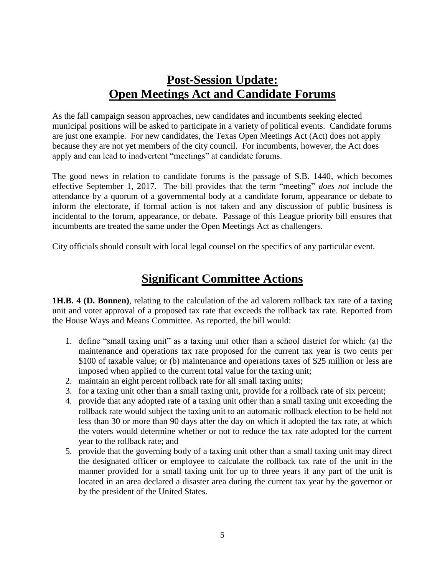# **Post-Session Update: Open Meetings Act and Candidate Forums**

As the fall campaign season approaches, new candidates and incumbents seeking elected municipal positions will be asked to participate in a variety of political events. Candidate forums are just one example. For new candidates, the Texas Open Meetings Act (Act) does not apply because they are not yet members of the city council. For incumbents, however, the Act does apply and can lead to inadvertent "meetings" at candidate forums.

The good news in relation to candidate forums is the passage of S.B. 1440, which becomes effective September 1, 2017. The bill provides that the term "meeting" *does not* include the attendance by a quorum of a governmental body at a candidate forum, appearance or debate to inform the electorate, if formal action is not taken and any discussion of public business is incidental to the forum, appearance, or debate. Passage of this League priority bill ensures that incumbents are treated the same under the Open Meetings Act as challengers.

City officials should consult with local legal counsel on the specifics of any particular event.

### **Significant Committee Actions**

**1H.B. 4 (D. Bonnen)**, relating to the calculation of the ad valorem rollback tax rate of a taxing unit and voter approval of a proposed tax rate that exceeds the rollback tax rate. Reported from the House Ways and Means Committee. As reported, the bill would:

- 1. define "small taxing unit" as a taxing unit other than a school district for which: (a) the maintenance and operations tax rate proposed for the current tax year is two cents per \$100 of taxable value; or (b) maintenance and operations taxes of \$25 million or less are imposed when applied to the current total value for the taxing unit;
- 2. maintain an eight percent rollback rate for all small taxing units;
- 3. for a taxing unit other than a small taxing unit, provide for a rollback rate of six percent;
- 4. provide that any adopted rate of a taxing unit other than a small taxing unit exceeding the rollback rate would subject the taxing unit to an automatic rollback election to be held not less than 30 or more than 90 days after the day on which it adopted the tax rate, at which the voters would determine whether or not to reduce the tax rate adopted for the current year to the rollback rate; and
- 5. provide that the governing body of a taxing unit other than a small taxing unit may direct the designated officer or employee to calculate the rollback tax rate of the unit in the manner provided for a small taxing unit for up to three years if any part of the unit is located in an area declared a disaster area during the current tax year by the governor or by the president of the United States.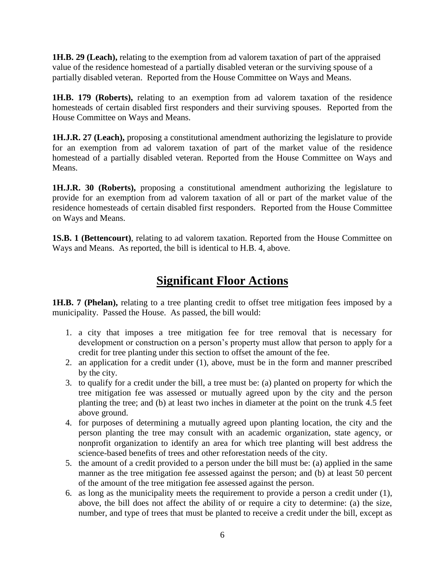**1H.B. 29 (Leach),** relating to the exemption from ad valorem taxation of part of the appraised value of the residence homestead of a partially disabled veteran or the surviving spouse of a partially disabled veteran. Reported from the House Committee on Ways and Means.

**1H.B. 179 (Roberts),** relating to an exemption from ad valorem taxation of the residence homesteads of certain disabled first responders and their surviving spouses. Reported from the House Committee on Ways and Means.

**1H.J.R. 27 (Leach),** proposing a constitutional amendment authorizing the legislature to provide for an exemption from ad valorem taxation of part of the market value of the residence homestead of a partially disabled veteran. Reported from the House Committee on Ways and Means.

**1H.J.R. 30 (Roberts),** proposing a constitutional amendment authorizing the legislature to provide for an exemption from ad valorem taxation of all or part of the market value of the residence homesteads of certain disabled first responders. Reported from the House Committee on Ways and Means.

**1S.B. 1 (Bettencourt)**, relating to ad valorem taxation. Reported from the House Committee on Ways and Means. As reported, the bill is identical to H.B. 4, above.

### **Significant Floor Actions**

**1H.B. 7 (Phelan),** relating to a tree planting credit to offset tree mitigation fees imposed by a municipality. Passed the House. As passed, the bill would:

- 1. a city that imposes a tree mitigation fee for tree removal that is necessary for development or construction on a person's property must allow that person to apply for a credit for tree planting under this section to offset the amount of the fee.
- 2. an application for a credit under (1), above, must be in the form and manner prescribed by the city.
- 3. to qualify for a credit under the bill, a tree must be: (a) planted on property for which the tree mitigation fee was assessed or mutually agreed upon by the city and the person planting the tree; and (b) at least two inches in diameter at the point on the trunk 4.5 feet above ground.
- 4. for purposes of determining a mutually agreed upon planting location, the city and the person planting the tree may consult with an academic organization, state agency, or nonprofit organization to identify an area for which tree planting will best address the science-based benefits of trees and other reforestation needs of the city.
- 5. the amount of a credit provided to a person under the bill must be: (a) applied in the same manner as the tree mitigation fee assessed against the person; and (b) at least 50 percent of the amount of the tree mitigation fee assessed against the person.
- 6. as long as the municipality meets the requirement to provide a person a credit under (1), above, the bill does not affect the ability of or require a city to determine: (a) the size, number, and type of trees that must be planted to receive a credit under the bill, except as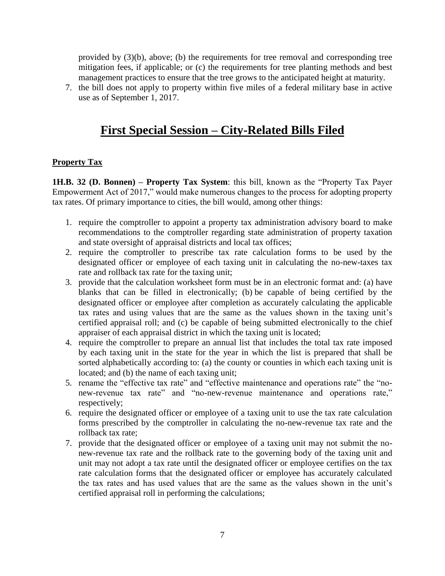provided by (3)(b), above; (b) the requirements for tree removal and corresponding tree mitigation fees, if applicable; or (c) the requirements for tree planting methods and best management practices to ensure that the tree grows to the anticipated height at maturity.

7. the bill does not apply to property within five miles of a federal military base in active use as of September 1, 2017.

# **First Special Session – City-Related Bills Filed**

### **Property Tax**

**1H.B. 32 (D. Bonnen) – Property Tax System**: this bill, known as the "Property Tax Payer Empowerment Act of 2017," would make numerous changes to the process for adopting property tax rates. Of primary importance to cities, the bill would, among other things:

- 1. require the comptroller to appoint a property tax administration advisory board to make recommendations to the comptroller regarding state administration of property taxation and state oversight of appraisal districts and local tax offices;
- 2. require the comptroller to prescribe tax rate calculation forms to be used by the designated officer or employee of each taxing unit in calculating the no-new-taxes tax rate and rollback tax rate for the taxing unit;
- 3. provide that the calculation worksheet form must be in an electronic format and: (a) have blanks that can be filled in electronically; (b) be capable of being certified by the designated officer or employee after completion as accurately calculating the applicable tax rates and using values that are the same as the values shown in the taxing unit's certified appraisal roll; and (c) be capable of being submitted electronically to the chief appraiser of each appraisal district in which the taxing unit is located;
- 4. require the comptroller to prepare an annual list that includes the total tax rate imposed by each taxing unit in the state for the year in which the list is prepared that shall be sorted alphabetically according to: (a) the county or counties in which each taxing unit is located; and (b) the name of each taxing unit;
- 5. rename the "effective tax rate" and "effective maintenance and operations rate" the "nonew-revenue tax rate" and "no-new-revenue maintenance and operations rate," respectively;
- 6. require the designated officer or employee of a taxing unit to use the tax rate calculation forms prescribed by the comptroller in calculating the no-new-revenue tax rate and the rollback tax rate;
- 7. provide that the designated officer or employee of a taxing unit may not submit the nonew-revenue tax rate and the rollback rate to the governing body of the taxing unit and unit may not adopt a tax rate until the designated officer or employee certifies on the tax rate calculation forms that the designated officer or employee has accurately calculated the tax rates and has used values that are the same as the values shown in the unit's certified appraisal roll in performing the calculations;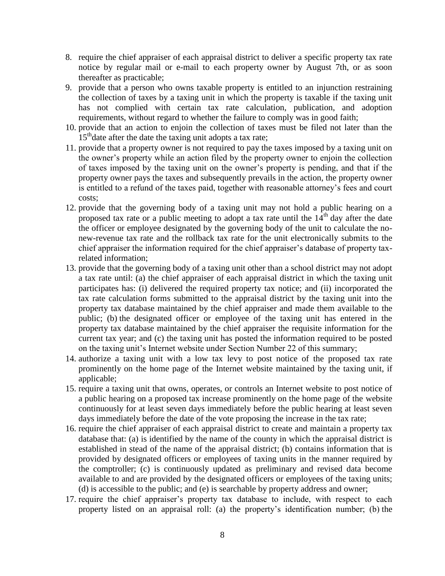- 8. require the chief appraiser of each appraisal district to deliver a specific property tax rate notice by regular mail or e-mail to each property owner by August 7th, or as soon thereafter as practicable;
- 9. provide that a person who owns taxable property is entitled to an injunction restraining the collection of taxes by a taxing unit in which the property is taxable if the taxing unit has not complied with certain tax rate calculation, publication, and adoption requirements, without regard to whether the failure to comply was in good faith;
- 10. provide that an action to enjoin the collection of taxes must be filed not later than the  $15<sup>th</sup>$  date after the date the taxing unit adopts a tax rate;
- 11. provide that a property owner is not required to pay the taxes imposed by a taxing unit on the owner's property while an action filed by the property owner to enjoin the collection of taxes imposed by the taxing unit on the owner's property is pending, and that if the property owner pays the taxes and subsequently prevails in the action, the property owner is entitled to a refund of the taxes paid, together with reasonable attorney's fees and court costs;
- 12. provide that the governing body of a taxing unit may not hold a public hearing on a proposed tax rate or a public meeting to adopt a tax rate until the  $14<sup>th</sup>$  day after the date the officer or employee designated by the governing body of the unit to calculate the nonew-revenue tax rate and the rollback tax rate for the unit electronically submits to the chief appraiser the information required for the chief appraiser's database of property taxrelated information;
- 13. provide that the governing body of a taxing unit other than a school district may not adopt a tax rate until: (a) the chief appraiser of each appraisal district in which the taxing unit participates has: (i) delivered the required property tax notice; and (ii) incorporated the tax rate calculation forms submitted to the appraisal district by the taxing unit into the property tax database maintained by the chief appraiser and made them available to the public; (b) the designated officer or employee of the taxing unit has entered in the property tax database maintained by the chief appraiser the requisite information for the current tax year; and (c) the taxing unit has posted the information required to be posted on the taxing unit's Internet website under Section Number 22 of this summary;
- 14. authorize a taxing unit with a low tax levy to post notice of the proposed tax rate prominently on the home page of the Internet website maintained by the taxing unit, if applicable;
- 15. require a taxing unit that owns, operates, or controls an Internet website to post notice of a public hearing on a proposed tax increase prominently on the home page of the website continuously for at least seven days immediately before the public hearing at least seven days immediately before the date of the vote proposing the increase in the tax rate;
- 16. require the chief appraiser of each appraisal district to create and maintain a property tax database that: (a) is identified by the name of the county in which the appraisal district is established in stead of the name of the appraisal district; (b) contains information that is provided by designated officers or employees of taxing units in the manner required by the comptroller; (c) is continuously updated as preliminary and revised data become available to and are provided by the designated officers or employees of the taxing units; (d) is accessible to the public; and (e) is searchable by property address and owner;
- 17. require the chief appraiser's property tax database to include, with respect to each property listed on an appraisal roll: (a) the property's identification number; (b) the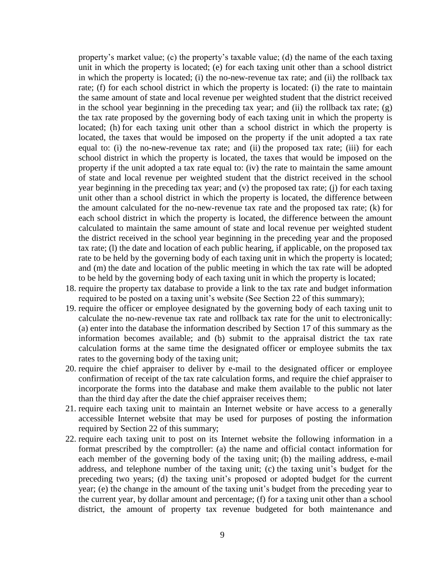property's market value; (c) the property's taxable value; (d) the name of the each taxing unit in which the property is located; (e) for each taxing unit other than a school district in which the property is located; (i) the no-new-revenue tax rate; and (ii) the rollback tax rate; (f) for each school district in which the property is located: (i) the rate to maintain the same amount of state and local revenue per weighted student that the district received in the school year beginning in the preceding tax year; and (ii) the rollback tax rate;  $(g)$ the tax rate proposed by the governing body of each taxing unit in which the property is located; (h) for each taxing unit other than a school district in which the property is located, the taxes that would be imposed on the property if the unit adopted a tax rate equal to: (i) the no-new-revenue tax rate; and (ii) the proposed tax rate; (iii) for each school district in which the property is located, the taxes that would be imposed on the property if the unit adopted a tax rate equal to: (iv) the rate to maintain the same amount of state and local revenue per weighted student that the district received in the school year beginning in the preceding tax year; and (v) the proposed tax rate; (j) for each taxing unit other than a school district in which the property is located, the difference between the amount calculated for the no-new-revenue tax rate and the proposed tax rate; (k) for each school district in which the property is located, the difference between the amount calculated to maintain the same amount of state and local revenue per weighted student the district received in the school year beginning in the preceding year and the proposed tax rate; (l) the date and location of each public hearing, if applicable, on the proposed tax rate to be held by the governing body of each taxing unit in which the property is located; and (m) the date and location of the public meeting in which the tax rate will be adopted to be held by the governing body of each taxing unit in which the property is located;

- 18. require the property tax database to provide a link to the tax rate and budget information required to be posted on a taxing unit's website (See Section 22 of this summary);
- 19. require the officer or employee designated by the governing body of each taxing unit to calculate the no-new-revenue tax rate and rollback tax rate for the unit to electronically: (a) enter into the database the information described by Section 17 of this summary as the information becomes available; and (b) submit to the appraisal district the tax rate calculation forms at the same time the designated officer or employee submits the tax rates to the governing body of the taxing unit;
- 20. require the chief appraiser to deliver by e-mail to the designated officer or employee confirmation of receipt of the tax rate calculation forms, and require the chief appraiser to incorporate the forms into the database and make them available to the public not later than the third day after the date the chief appraiser receives them;
- 21. require each taxing unit to maintain an Internet website or have access to a generally accessible Internet website that may be used for purposes of posting the information required by Section 22 of this summary;
- 22. require each taxing unit to post on its Internet website the following information in a format prescribed by the comptroller: (a) the name and official contact information for each member of the governing body of the taxing unit; (b) the mailing address, e-mail address, and telephone number of the taxing unit; (c) the taxing unit's budget for the preceding two years; (d) the taxing unit's proposed or adopted budget for the current year; (e) the change in the amount of the taxing unit's budget from the preceding year to the current year, by dollar amount and percentage; (f) for a taxing unit other than a school district, the amount of property tax revenue budgeted for both maintenance and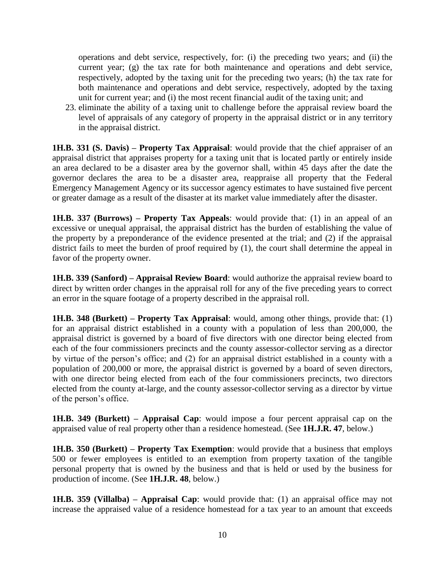operations and debt service, respectively, for: (i) the preceding two years; and (ii) the current year; (g) the tax rate for both maintenance and operations and debt service, respectively, adopted by the taxing unit for the preceding two years; (h) the tax rate for both maintenance and operations and debt service, respectively, adopted by the taxing unit for current year; and (i) the most recent financial audit of the taxing unit; and

23. eliminate the ability of a taxing unit to challenge before the appraisal review board the level of appraisals of any category of property in the appraisal district or in any territory in the appraisal district.

**1H.B. 331 (S. Davis) – Property Tax Appraisal**: would provide that the chief appraiser of an appraisal district that appraises property for a taxing unit that is located partly or entirely inside an area declared to be a disaster area by the governor shall, within 45 days after the date the governor declares the area to be a disaster area, reappraise all property that the Federal Emergency Management Agency or its successor agency estimates to have sustained five percent or greater damage as a result of the disaster at its market value immediately after the disaster.

**1H.B. 337 (Burrows) – Property Tax Appeals**: would provide that: (1) in an appeal of an excessive or unequal appraisal, the appraisal district has the burden of establishing the value of the property by a preponderance of the evidence presented at the trial; and (2) if the appraisal district fails to meet the burden of proof required by (1), the court shall determine the appeal in favor of the property owner.

**1H.B. 339 (Sanford) – Appraisal Review Board**: would authorize the appraisal review board to direct by written order changes in the appraisal roll for any of the five preceding years to correct an error in the square footage of a property described in the appraisal roll.

**1H.B. 348 (Burkett) – Property Tax Appraisal**: would, among other things, provide that: (1) for an appraisal district established in a county with a population of less than 200,000, the appraisal district is governed by a board of five directors with one director being elected from each of the four commissioners precincts and the county assessor-collector serving as a director by virtue of the person's office; and (2) for an appraisal district established in a county with a population of 200,000 or more, the appraisal district is governed by a board of seven directors, with one director being elected from each of the four commissioners precincts, two directors elected from the county at-large, and the county assessor-collector serving as a director by virtue of the person's office.

**1H.B. 349 (Burkett) – Appraisal Cap**: would impose a four percent appraisal cap on the appraised value of real property other than a residence homestead. (See **1H.J.R. 47**, below.)

**1H.B. 350 (Burkett) – Property Tax Exemption**: would provide that a business that employs 500 or fewer employees is entitled to an exemption from property taxation of the tangible personal property that is owned by the business and that is held or used by the business for production of income. (See **1H.J.R. 48**, below.)

**1H.B. 359 (Villalba) – Appraisal Cap**: would provide that: (1) an appraisal office may not increase the appraised value of a residence homestead for a tax year to an amount that exceeds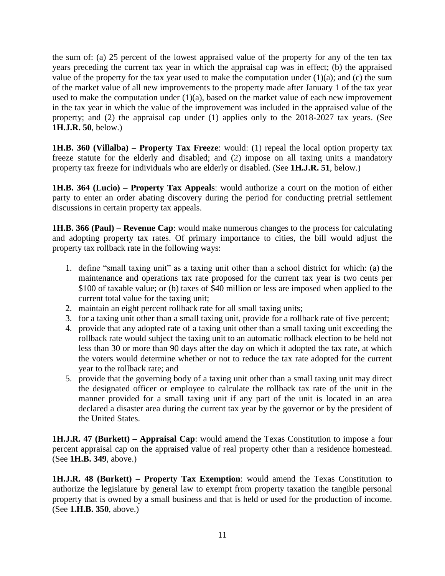the sum of: (a) 25 percent of the lowest appraised value of the property for any of the ten tax years preceding the current tax year in which the appraisal cap was in effect; (b) the appraised value of the property for the tax year used to make the computation under  $(1)(a)$ ; and  $(c)$  the sum of the market value of all new improvements to the property made after January 1 of the tax year used to make the computation under  $(1)(a)$ , based on the market value of each new improvement in the tax year in which the value of the improvement was included in the appraised value of the property; and (2) the appraisal cap under (1) applies only to the 2018-2027 tax years. (See **1H.J.R. 50**, below.)

**1H.B. 360 (Villalba) – Property Tax Freeze**: would: (1) repeal the local option property tax freeze statute for the elderly and disabled; and (2) impose on all taxing units a mandatory property tax freeze for individuals who are elderly or disabled. (See **1H.J.R. 51**, below.)

**1H.B. 364 (Lucio) – Property Tax Appeals**: would authorize a court on the motion of either party to enter an order abating discovery during the period for conducting pretrial settlement discussions in certain property tax appeals.

**1H.B. 366 (Paul) – Revenue Cap**: would make numerous changes to the process for calculating and adopting property tax rates. Of primary importance to cities, the bill would adjust the property tax rollback rate in the following ways:

- 1. define "small taxing unit" as a taxing unit other than a school district for which: (a) the maintenance and operations tax rate proposed for the current tax year is two cents per \$100 of taxable value; or (b) taxes of \$40 million or less are imposed when applied to the current total value for the taxing unit;
- 2. maintain an eight percent rollback rate for all small taxing units;
- 3. for a taxing unit other than a small taxing unit, provide for a rollback rate of five percent;
- 4. provide that any adopted rate of a taxing unit other than a small taxing unit exceeding the rollback rate would subject the taxing unit to an automatic rollback election to be held not less than 30 or more than 90 days after the day on which it adopted the tax rate, at which the voters would determine whether or not to reduce the tax rate adopted for the current year to the rollback rate; and
- 5. provide that the governing body of a taxing unit other than a small taxing unit may direct the designated officer or employee to calculate the rollback tax rate of the unit in the manner provided for a small taxing unit if any part of the unit is located in an area declared a disaster area during the current tax year by the governor or by the president of the United States.

**1H.J.R. 47 (Burkett) – Appraisal Cap**: would amend the Texas Constitution to impose a four percent appraisal cap on the appraised value of real property other than a residence homestead. (See **1H.B. 349**, above.)

**1H.J.R. 48 (Burkett) – Property Tax Exemption**: would amend the Texas Constitution to authorize the legislature by general law to exempt from property taxation the tangible personal property that is owned by a small business and that is held or used for the production of income. (See **1.H.B. 350**, above.)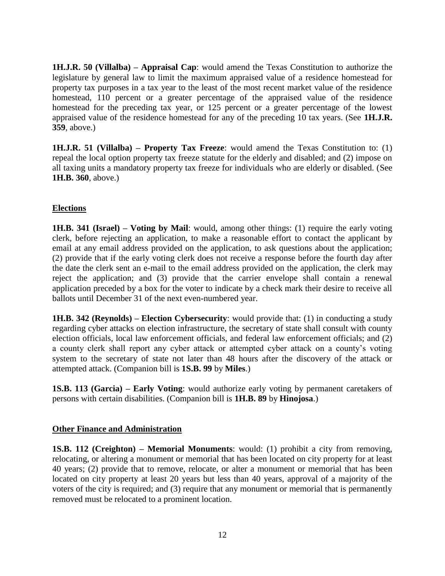**1H.J.R. 50 (Villalba) – Appraisal Cap**: would amend the Texas Constitution to authorize the legislature by general law to limit the maximum appraised value of a residence homestead for property tax purposes in a tax year to the least of the most recent market value of the residence homestead, 110 percent or a greater percentage of the appraised value of the residence homestead for the preceding tax year, or 125 percent or a greater percentage of the lowest appraised value of the residence homestead for any of the preceding 10 tax years. (See **1H.J.R. 359**, above.)

**1H.J.R. 51 (Villalba) – Property Tax Freeze**: would amend the Texas Constitution to: (1) repeal the local option property tax freeze statute for the elderly and disabled; and (2) impose on all taxing units a mandatory property tax freeze for individuals who are elderly or disabled. (See **1H.B. 360**, above.)

### **Elections**

**1H.B. 341 (Israel) – Voting by Mail**: would, among other things: (1) require the early voting clerk, before rejecting an application, to make a reasonable effort to contact the applicant by email at any email address provided on the application, to ask questions about the application; (2) provide that if the early voting clerk does not receive a response before the fourth day after the date the clerk sent an e-mail to the email address provided on the application, the clerk may reject the application; and (3) provide that the carrier envelope shall contain a renewal application preceded by a box for the voter to indicate by a check mark their desire to receive all ballots until December 31 of the next even-numbered year.

**1H.B. 342 (Reynolds) – Election Cybersecurity**: would provide that: (1) in conducting a study regarding cyber attacks on election infrastructure, the secretary of state shall consult with county election officials, local law enforcement officials, and federal law enforcement officials; and (2) a county clerk shall report any cyber attack or attempted cyber attack on a county's voting system to the secretary of state not later than 48 hours after the discovery of the attack or attempted attack. (Companion bill is **1S.B. 99** by **Miles**.)

**1S.B. 113 (Garcia) – Early Voting**: would authorize early voting by permanent caretakers of persons with certain disabilities. (Companion bill is **1H.B. 89** by **Hinojosa**.)

#### **Other Finance and Administration**

**1S.B. 112 (Creighton) – Memorial Monuments**: would: (1) prohibit a city from removing, relocating, or altering a monument or memorial that has been located on city property for at least 40 years; (2) provide that to remove, relocate, or alter a monument or memorial that has been located on city property at least 20 years but less than 40 years, approval of a majority of the voters of the city is required; and (3) require that any monument or memorial that is permanently removed must be relocated to a prominent location.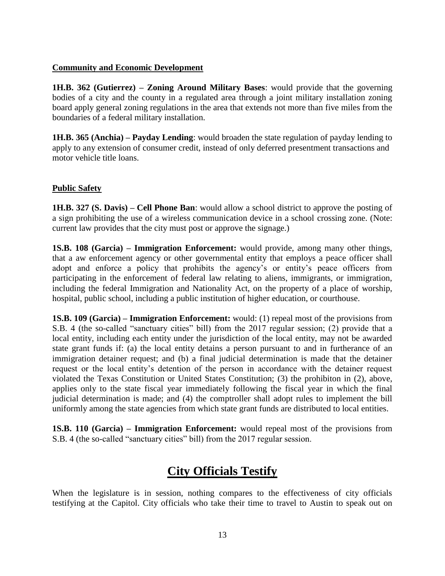#### **Community and Economic Development**

**1H.B. 362 (Gutierrez) – Zoning Around Military Bases**: would provide that the governing bodies of a city and the county in a regulated area through a joint military installation zoning board apply general zoning regulations in the area that extends not more than five miles from the boundaries of a federal military installation.

**1H.B. 365 (Anchia) – Payday Lending**: would broaden the state regulation of payday lending to apply to any extension of consumer credit, instead of only deferred presentment transactions and motor vehicle title loans.

### **Public Safety**

**1H.B. 327 (S. Davis) – Cell Phone Ban**: would allow a school district to approve the posting of a sign prohibiting the use of a wireless communication device in a school crossing zone. (Note: current law provides that the city must post or approve the signage.)

**1S.B. 108 (Garcia) – Immigration Enforcement:** would provide, among many other things, that a aw enforcement agency or other governmental entity that employs a peace officer shall adopt and enforce a policy that prohibits the agency's or entity's peace officers from participating in the enforcement of federal law relating to aliens, immigrants, or immigration, including the federal Immigration and Nationality Act, on the property of a place of worship, hospital, public school, including a public institution of higher education, or courthouse.

**1S.B. 109 (Garcia) – Immigration Enforcement:** would: (1) repeal most of the provisions from S.B. 4 (the so-called "sanctuary cities" bill) from the 2017 regular session; (2) provide that a local entity, including each entity under the jurisdiction of the local entity, may not be awarded state grant funds if: (a) the local entity detains a person pursuant to and in furtherance of an immigration detainer request; and (b) a final judicial determination is made that the detainer request or the local entity's detention of the person in accordance with the detainer request violated the Texas Constitution or United States Constitution; (3) the prohibiton in (2), above, applies only to the state fiscal year immediately following the fiscal year in which the final judicial determination is made; and (4) the comptroller shall adopt rules to implement the bill uniformly among the state agencies from which state grant funds are distributed to local entities.

**1S.B. 110 (Garcia) – Immigration Enforcement:** would repeal most of the provisions from S.B. 4 (the so-called "sanctuary cities" bill) from the 2017 regular session.

## **City Officials Testify**

When the legislature is in session, nothing compares to the effectiveness of city officials testifying at the Capitol. City officials who take their time to travel to Austin to speak out on